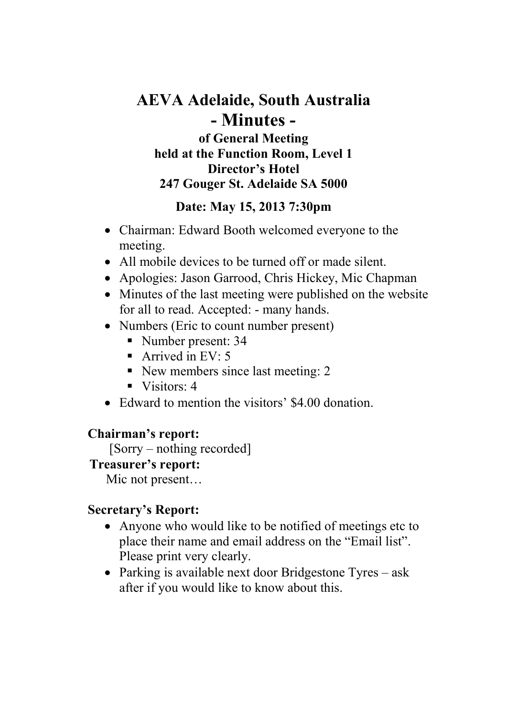# **AEVA Adelaide, South Australia - Minutes of General Meeting held at the Function Room, Level 1**

#### **Director's Hotel**

#### **247 Gouger St. Adelaide SA 5000**

### **Date: May 15, 2013 7:30pm**

- Chairman: Edward Booth welcomed everyone to the meeting.
- All mobile devices to be turned off or made silent.
- Apologies: Jason Garrood, Chris Hickey, Mic Chapman
- Minutes of the last meeting were published on the website for all to read. Accepted: - many hands.
- Numbers (Eric to count number present)
	- Number present: 34
	- Arrived in EV: 5
	- New members since last meeting: 2
	- $\blacksquare$  Visitors: 4
- Edward to mention the visitors' \$4.00 donation.

#### **Chairman's report:**

[Sorry – nothing recorded]

### **Treasurer's report:**

Mic not present…

### **Secretary's Report:**

- Anyone who would like to be notified of meetings etc to place their name and email address on the "Email list". Please print very clearly.
- Parking is available next door Bridgestone Tyres ask after if you would like to know about this.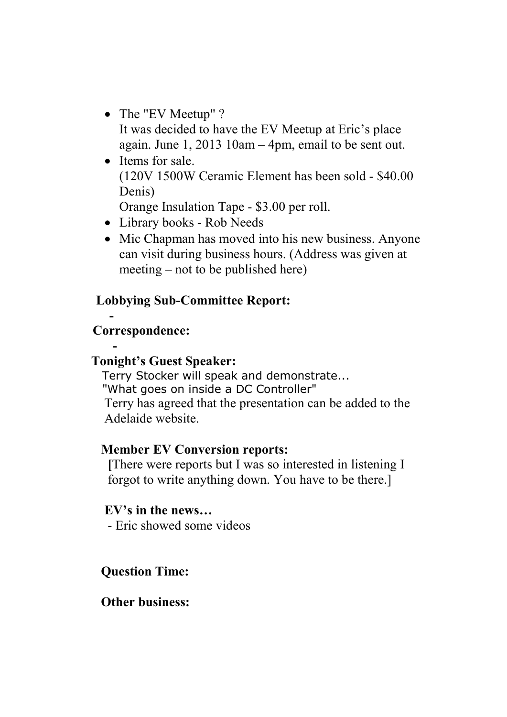- The "EV Meetup" ? It was decided to have the EV Meetup at Eric's place again. June 1, 2013 10am – 4pm, email to be sent out.
- Items for sale. (120V 1500W Ceramic Element has been sold - \$40.00 Denis)

Orange Insulation Tape - \$3.00 per roll.

- Library books Rob Needs
- Mic Chapman has moved into his new business. Anyone can visit during business hours. (Address was given at meeting – not to be published here)

### **Lobbying Sub-Committee Report:**

 **- Correspondence:** 

#### **- Tonight's Guest Speaker:**

 Terry Stocker will speak and demonstrate... "What goes on inside a DC Controller"Terry has agreed that the presentation can be added to the Adelaide website.

### **Member EV Conversion reports:**

 **[**There were reports but I was so interested in listening I forgot to write anything down. You have to be there.]

### **EV's in the news…**

- Eric showed some videos

## **Question Time:**

### **Other business:**